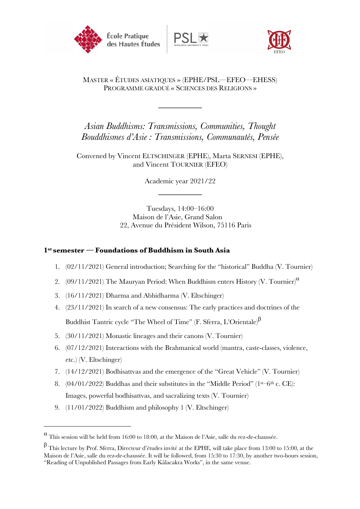





### MASTER « ÉTUDES ASIATIQUES » (EPHE/PSL—EFEO—EHESS) PROGRAMME GRADUÉ « SCIENCES DES RELIGIONS »

\_\_\_\_\_\_\_\_\_

*Asian Buddhisms: Transmissions, Communities, Thought Bouddhismes d'Asie : Transmissions, Communautés, Pensée*

Convened by Vincent ELTSCHINGER (EPHE), Marta SERNESI (EPHE), and Vincent TOURNIER (EFEO)

> Academic year 2021/22 \_\_\_\_\_\_\_\_\_

Tuesdays, 14:00–16:00 Maison de l'Asie, Grand Salon 22, Avenue du Président Wilson, 75116 Paris

#### **1st semester — Foundations of Buddhism in South Asia**

- 1. (02/11/2021) General introduction; Searching for the "historical" Buddha (V. Tournier)
- 2.  $(09/11/2021)$  The Mauryan Period: When Buddhism enters History (V. Tournier)<sup> $\alpha$ </sup>
- 3. (16/11/2021) Dharma and Abhidharma (V. Eltschinger)
- 4. (23/11/2021) In search of a new consensus: The early practices and doctrines of the Buddhist Tantric cycle "The Wheel of Time" (F. Sferra, L'Orientale)<sup> $\beta$ </sup>
- 5. (30/11/2021) Monastic lineages and their canons (V. Tournier)
- 6. (07/12/2021) Interactions with the Brahmanical world (mantra, caste-classes, violence, etc.) (V. Eltschinger)
- 7. (14/12/2021) Bodhisattvas and the emergence of the "Great Vehicle" (V. Tournier)
- 8.  $(04/01/2022)$  Buddhas and their substitutes in the "Middle Period" (1st–6th c. CE): Images, powerful bodhisattvas, and sacralizing texts (V. Tournier)
- 9. (11/01/2022) Buddhism and philosophy 1 (V. Eltschinger)

 $\alpha$  This session will be held from 16:00 to 18:00, at the Maison de l'Asie, salle du rez-de-chaussée.

 $\beta$  This lecture by Prof. Sferra, Directeur d'études invité at the EPHE, will take place from 13:00 to 15:00, at the Maison de l'Asie, salle du rez-de-chaussée. It will be followed, from 15:30 to 17:30, by another two-hours session, "Reading of Unpublished Passages from Early Kālacakra Works", in the same venue.